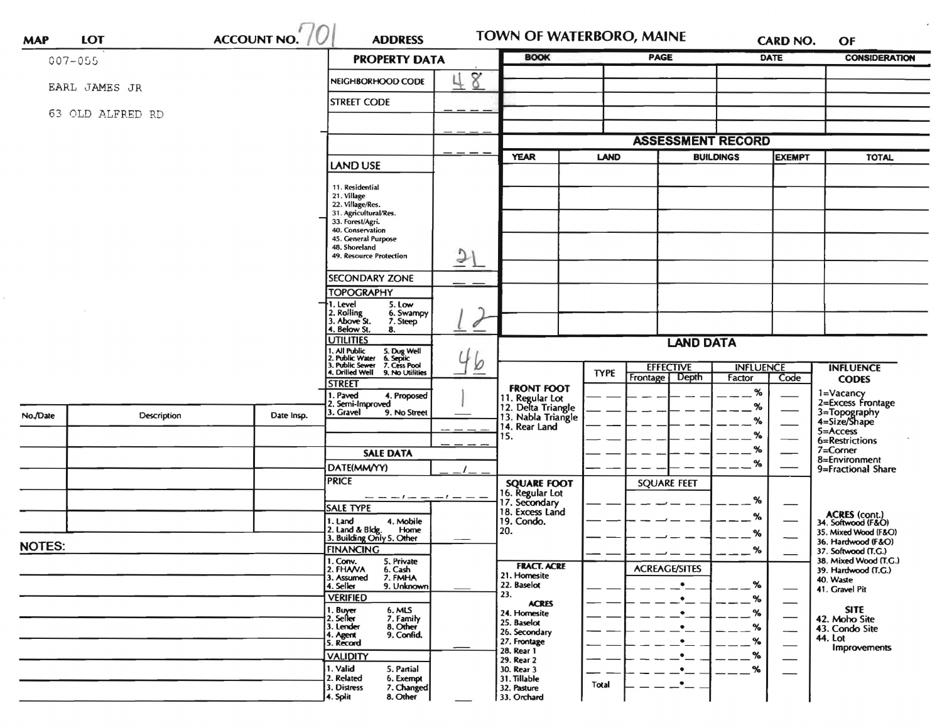| <b>MAP</b>    | <b>LOT</b>       | <b>ACCOUNT NO.</b> | <b>ADDRESS</b>                                                                                                            |                      | TOWN OF WATERBORO, MAINE                            |                                 |                          | <b>CARD NO.</b> |                  | OF                                           |
|---------------|------------------|--------------------|---------------------------------------------------------------------------------------------------------------------------|----------------------|-----------------------------------------------------|---------------------------------|--------------------------|-----------------|------------------|----------------------------------------------|
| 007-055       |                  |                    |                                                                                                                           | <b>PROPERTY DATA</b> |                                                     |                                 | <b>PAGE</b>              |                 | <b>DATE</b>      | <b>CONSIDERATION</b>                         |
|               | EARL JAMES JR    |                    | NEIGHBORHOOD CODE                                                                                                         | 8                    |                                                     |                                 |                          |                 |                  |                                              |
|               |                  |                    | <b>STREET CODE</b>                                                                                                        |                      |                                                     |                                 |                          |                 |                  |                                              |
|               | 63 OLD ALFRED RD |                    |                                                                                                                           |                      |                                                     |                                 |                          |                 |                  |                                              |
|               |                  |                    |                                                                                                                           |                      |                                                     |                                 | <b>ASSESSMENT RECORD</b> |                 |                  |                                              |
|               |                  |                    |                                                                                                                           |                      | <b>YEAR</b>                                         | <b>LAND</b><br><b>BUILDINGS</b> |                          |                 | <b>EXEMPT</b>    | <b>TOTAL</b>                                 |
|               |                  |                    | <b>LAND USE</b>                                                                                                           |                      |                                                     |                                 |                          |                 |                  |                                              |
|               |                  |                    | 11. Residential<br>21. Village                                                                                            |                      |                                                     |                                 |                          |                 |                  |                                              |
|               |                  |                    | 22. Village/Res.<br>31. Agricultural/Res.                                                                                 |                      |                                                     |                                 |                          |                 |                  |                                              |
|               |                  |                    | 33. Forest/Agri.                                                                                                          |                      |                                                     |                                 |                          |                 |                  |                                              |
|               |                  |                    | 40. Conservation<br>45. General Purpose                                                                                   |                      |                                                     |                                 |                          |                 |                  |                                              |
|               |                  |                    | 48. Shoreland<br>49. Resource Protection                                                                                  | $\mathfrak{D}$       |                                                     |                                 |                          |                 |                  |                                              |
|               |                  |                    | SECONDARY ZONE                                                                                                            |                      |                                                     |                                 |                          |                 |                  |                                              |
|               |                  |                    | <b>TOPOGRAPHY</b>                                                                                                         |                      |                                                     |                                 |                          |                 |                  |                                              |
|               |                  |                    | 1. Level<br>5. Low                                                                                                        |                      |                                                     |                                 |                          |                 |                  |                                              |
|               |                  |                    | 2. Rolling<br>3. Above St.<br>4. Below St.<br>6. Swampy<br>7. Steep                                                       | 0                    |                                                     |                                 |                          |                 |                  |                                              |
|               |                  |                    | 8.<br><b>UTILITIES</b>                                                                                                    |                      | <b>LAND DATA</b>                                    |                                 |                          |                 |                  |                                              |
|               |                  |                    | 1. All Public 5. Dug Well<br>2. Public Water 6. Septic<br>3. Public Sewer 7. Cess Pool<br>4. Drilled Well 9. No Utilities | b                    |                                                     |                                 |                          |                 |                  |                                              |
|               |                  | 9. No Utilities    |                                                                                                                           |                      | <b>EFFECTIVE</b><br><b>TYPE</b>                     |                                 | <b>INFLUENCE</b>         |                 | <b>INFLUENCE</b> |                                              |
|               |                  |                    | <b>STREET</b>                                                                                                             |                      | <b>FRONT FOOT</b>                                   |                                 | Depth<br>Frontage        | Factor<br>%     | Code             | <b>CODES</b>                                 |
|               |                  |                    | . Paved<br>4. Proposed<br>2. Semi-Improved                                                                                |                      | 11. Regular Lot<br>12. Delta Triangle               |                                 |                          | %               |                  | 1=Vacancy<br>$2 = Excess$ Frontage           |
| No./Date      | Description      | Date Insp.         | 3. Gravel<br>9. No Street                                                                                                 |                      | 13. Nabla Triangle                                  |                                 |                          | %               |                  | 3=Topography<br>4=Size/Shape                 |
|               |                  |                    |                                                                                                                           |                      | 14. Rear Land<br>15.                                |                                 |                          | %               |                  | 5=Access<br>6=Restrictions                   |
|               |                  |                    | <b>SALE DATA</b>                                                                                                          |                      |                                                     |                                 |                          | %               |                  | $7 =$ Corner                                 |
|               |                  |                    | DATE(MM/YY)                                                                                                               |                      |                                                     |                                 |                          | %               |                  | 8=Environment<br>9=Fractional Share          |
|               |                  |                    | <b>PRICE</b>                                                                                                              |                      | <b>SQUARE FOOT</b>                                  |                                 | <b>SQUARE FEET</b>       |                 |                  |                                              |
|               |                  |                    |                                                                                                                           |                      | 16. Regular Lot<br>17. Secondary<br>18. Excess Land |                                 |                          | %               |                  |                                              |
|               |                  |                    | <b>SALE TYPE</b><br>4. Mobile<br>1. Land                                                                                  |                      | 19. Condo.                                          |                                 |                          | %               |                  | ACRES (cont.)<br>34. Softwood (F&O)          |
|               |                  |                    | 2. Land & Bldg. Home<br>3. Building Only 5. Other<br>Home                                                                 |                      | 20.                                                 |                                 |                          | %               |                  | 35. Mixed Wood (F&O)                         |
| <b>NOTES:</b> |                  |                    | <b>FINANCING</b>                                                                                                          |                      |                                                     |                                 |                          | %               |                  | 36. Hardwood (F&O)<br>37. Softwood (T.G.)    |
|               |                  |                    | 1. Conv.<br>5. Private<br>2. FHAVA<br>6. Cash                                                                             |                      | <b>FRACT. ACRE</b>                                  |                                 | <b>ACREAGE/SITES</b>     |                 |                  | 38. Mixed Wood (T.G.)<br>39. Hardwood (T.G.) |
|               |                  |                    | 7. FMHA<br>3. Assumed<br>4. Seller<br>9. Unknown                                                                          |                      | 21. Homesite<br>22. Baselot                         |                                 | $\bullet$                | %               |                  | 40. Waste                                    |
|               |                  |                    | <b>VERIFIED</b>                                                                                                           |                      | 23.<br><b>ACRES</b>                                 |                                 | $\bullet$                | %               |                  | 41. Gravel Pit                               |
|               |                  |                    | 6. MLS<br>1. Buyer<br>2. Seller                                                                                           |                      | 24. Homesite                                        |                                 | $\bullet$                | %               |                  | <b>SITE</b><br>42. Moho Site                 |
|               |                  |                    | 7. Family<br>8. Other<br>3. Lender<br>9. Confid.<br>4. Agent                                                              |                      | 25. Baselot<br>26. Secondary                        |                                 | $\bullet$                | %               |                  | 43. Condo Site                               |
|               |                  |                    | 5. Record                                                                                                                 |                      | 27. Frontage<br>28. Rear 1                          |                                 | $\bullet$                | %               |                  | 44. Lot<br>Improvements                      |
|               |                  |                    | <b>VALIDITY</b>                                                                                                           |                      | 29. Rear 2                                          |                                 | $\bullet$                | %               |                  |                                              |
|               |                  |                    | 1. Valid<br>5. Partial<br>2. Related<br>6. Exempt                                                                         |                      | 30. Rear 3<br>31. Tillable                          |                                 | $\bullet$                | %               |                  |                                              |
|               |                  |                    | 7. Changed<br>3. Distress<br>4. Split<br>8. Other                                                                         |                      | 32. Pasture<br>33. Orchard                          | Total                           |                          |                 |                  |                                              |